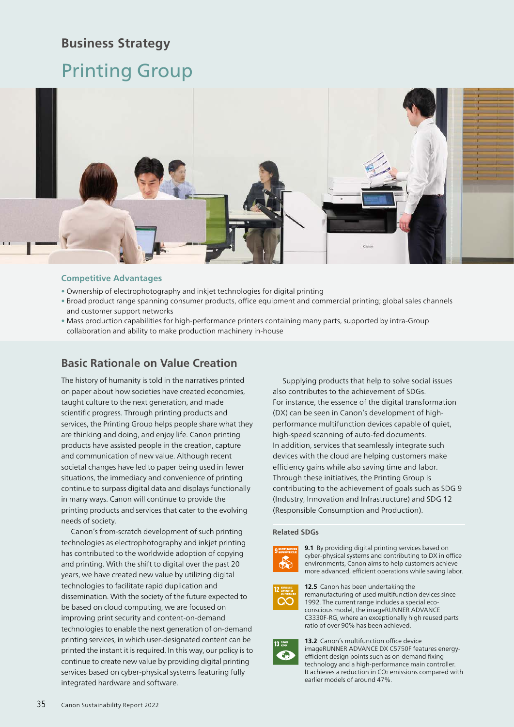## **Business Strategy**

# Printing Group



## **Competitive Advantages**

- Ownership of electrophotography and inkjet technologies for digital printing
- Broad product range spanning consumer products, office equipment and commercial printing; global sales channels and customer support networks
- Mass production capabilities for high-performance printers containing many parts, supported by intra-Group collaboration and ability to make production machinery in-house

## **Basic Rationale on Value Creation**

The history of humanity is told in the narratives printed on paper about how societies have created economies, taught culture to the next generation, and made scientific progress. Through printing products and services, the Printing Group helps people share what they are thinking and doing, and enjoy life. Canon printing products have assisted people in the creation, capture and communication of new value. Although recent societal changes have led to paper being used in fewer situations, the immediacy and convenience of printing continue to surpass digital data and displays functionally in many ways. Canon will continue to provide the printing products and services that cater to the evolving needs of society.

Canon's from-scratch development of such printing technologies as electrophotography and inkjet printing has contributed to the worldwide adoption of copying and printing. With the shift to digital over the past 20 years, we have created new value by utilizing digital technologies to facilitate rapid duplication and dissemination. With the society of the future expected to be based on cloud computing, we are focused on improving print security and content-on-demand technologies to enable the next generation of on-demand printing services, in which user-designated content can be printed the instant it is required. In this way, our policy is to continue to create new value by providing digital printing services based on cyber-physical systems featuring fully integrated hardware and software.

Supplying products that help to solve social issues also contributes to the achievement of SDGs. For instance, the essence of the digital transformation (DX) can be seen in Canon's development of highperformance multifunction devices capable of quiet, high-speed scanning of auto-fed documents. In addition, services that seamlessly integrate such devices with the cloud are helping customers make efficiency gains while also saving time and labor. Through these initiatives, the Printing Group is contributing to the achievement of goals such as SDG 9 (Industry, Innovation and Infrastructure) and SDG 12 (Responsible Consumption and Production).

## **Related SDGs**



**9.1** By providing digital printing services based on cyber-physical systems and contributing to DX in office environments, Canon aims to help customers achieve more advanced, efficient operations while saving labor.



**12.5** Canon has been undertaking the remanufacturing of used multifunction devices since 1992. The current range includes a special ecoconscious model, the imageRUNNER ADVANCE C3330F-RG, where an exceptionally high reused parts ratio of over 90% has been achieved.



**13.2** Canon's multifunction office device imageRUNNER ADVANCE DX C5750F features energyefficient design points such as on-demand fixing technology and a high-performance main controller. It achieves a reduction in CO<sub>2</sub> emissions compared with earlier models of around 47%.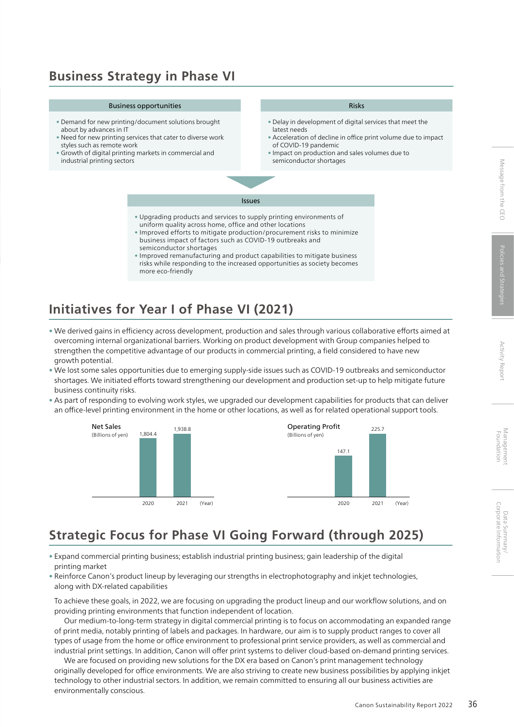# Corporate Information Message from the CEO Policies and Strategies Activity Report Management Foundation Corporate Information Data Summary/ Data Summary/

# **Business Strategy in Phase VI**

## Business opportunities

- Demand for new printing/document solutions brought about by advances in IT
- Need for new printing services that cater to diverse work styles such as remote work
- Growth of digital printing markets in commercial and industrial printing sectors

### Risks

- Delay in development of digital services that meet the latest needs
- Acceleration of decline in office print volume due to impact of COVID-19 pandemic
- Impact on production and sales volumes due to semiconductor shortages
- Upgrading products and services to supply printing environments of uniform quality across home, office and other locations

Issues

- Improved efforts to mitigate production/procurement risks to minimize business impact of factors such as COVID-19 outbreaks and semiconductor shortages
- Improved remanufacturing and product capabilities to mitigate business risks while responding to the increased opportunities as society becomes more eco-friendly

# **Initiatives for Year I of Phase VI (2021)**

- We derived gains in efficiency across development, production and sales through various collaborative efforts aimed at overcoming internal organizational barriers. Working on product development with Group companies helped to strengthen the competitive advantage of our products in commercial printing, a field considered to have new growth potential.
- We lost some sales opportunities due to emerging supply-side issues such as COVID-19 outbreaks and semiconductor shortages. We initiated efforts toward strengthening our development and production set-up to help mitigate future business continuity risks.
- As part of responding to evolving work styles, we upgraded our development capabilities for products that can deliver an office-level printing environment in the home or other locations, as well as for related operational support tools.



# **Strategic Focus for Phase VI Going Forward (through 2025)**

- Expand commercial printing business; establish industrial printing business; gain leadership of the digital printing market
- Reinforce Canon's product lineup by leveraging our strengths in electrophotography and inkjet technologies, along with DX-related capabilities

To achieve these goals, in 2022, we are focusing on upgrading the product lineup and our workflow solutions, and on providing printing environments that function independent of location.

Our medium-to-long-term strategy in digital commercial printing is to focus on accommodating an expanded range of print media, notably printing of labels and packages. In hardware, our aim is to supply product ranges to cover all types of usage from the home or office environment to professional print service providers, as well as commercial and industrial print settings. In addition, Canon will offer print systems to deliver cloud-based on-demand printing services.

We are focused on providing new solutions for the DX era based on Canon's print management technology originally developed for office environments. We are also striving to create new business possibilities by applying inkjet technology to other industrial sectors. In addition, we remain committed to ensuring all our business activities are environmentally conscious.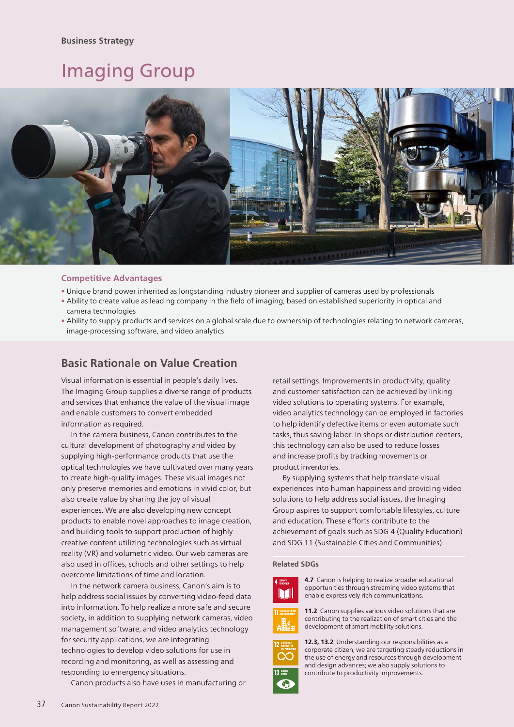# Imaging Group



## **Competitive Advantages**

- Unique brand power inherited as longstanding industry pioneer and supplier of cameras used by professionals
- Ability to create value as leading company in the field of imaging, based on established superiority in optical and camera technologies
- Ability to supply products and services on a global scale due to ownership of technologies relating to network cameras, image-processing software, and video analytics

## **Basic Rationale on Value Creation**

Visual information is essential in people's daily lives. The Imaging Group supplies a diverse range of products and services that enhance the value of the visual image and enable customers to convert embedded information as required.

In the camera business, Canon contributes to the cultural development of photography and video by supplying high-performance products that use the optical technologies we have cultivated over many years to create high-quality images. These visual images not only preserve memories and emotions in vivid color, but also create value by sharing the joy of visual experiences. We are also developing new concept products to enable novel approaches to image creation, and building tools to support production of highly creative content utilizing technologies such as virtual reality (VR) and volumetric video. Our web cameras are also used in offices, schools and other settings to help overcome limitations of time and location.

In the network camera business, Canon's aim is to help address social issues by converting video-feed data into information. To help realize a more safe and secure society, in addition to supplying network cameras, video management software, and video analytics technology for security applications, we are integrating technologies to develop video solutions for use in recording and monitoring, as well as assessing and responding to emergency situations.

Canon products also have uses in manufacturing or

retail settings. Improvements in productivity, quality and customer satisfaction can be achieved by linking video solutions to operating systems. For example, video analytics technology can be employed in factories to help identify defective items or even automate such tasks, thus saving labor. In shops or distribution centers, this technology can also be used to reduce losses and increase profits by tracking movements or product inventories.

By supplying systems that help translate visual experiences into human happiness and providing video solutions to help address social issues, the Imaging Group aspires to support comfortable lifestyles, culture and education. These efforts contribute to the achievement of goals such as SDG 4 (Quality Education) and SDG 11 (Sustainable Cities and Communities).

## **Related SDGs**



**4.7** Canon is helping to realize broader educational opportunities through streaming video systems that enable expressively rich communications.



11.2 Canon supplies various video solutions that are contributing to the realization of smart cities and the development of smart mobility solutions.



**12.3, 13.2** Understanding our responsibilities as a corporate citizen, we are targeting steady reductions in the use of energy and resources through development and design advances; we also supply solutions to contribute to productivity improvements.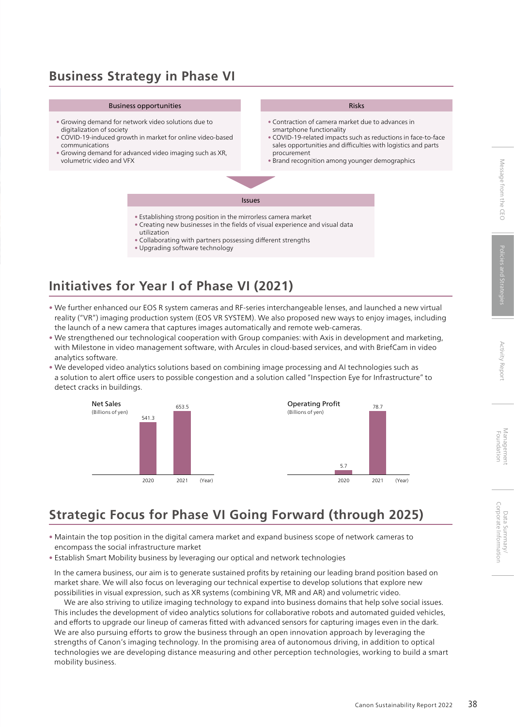## **Business Strategy in Phase VI**

#### Business opportunities

- Growing demand for network video solutions due to digitalization of society
- COVID-19-induced growth in market for online video-based communications
- Growing demand for advanced video imaging such as XR, volumetric video and VFX

#### Risks

- Contraction of camera market due to advances in smartphone functionality
- COVID-19-related impacts such as reductions in face-to-face sales opportunities and difficulties with logistics and parts procurement
- Brand recognition among younger demographics

Issues

- Establishing strong position in the mirrorless camera market
- Creating new businesses in the fields of visual experience and visual data utilization
- Collaborating with partners possessing different strengths
- Upgrading software technology

# **Initiatives for Year I of Phase VI (2021)**

- We further enhanced our EOS R system cameras and RF-series interchangeable lenses, and launched a new virtual reality ("VR") imaging production system (EOS VR SYSTEM). We also proposed new ways to enjoy images, including the launch of a new camera that captures images automatically and remote web-cameras.
- We strengthened our technological cooperation with Group companies: with Axis in development and marketing, with Milestone in video management software, with Arcules in cloud-based services, and with BriefCam in video analytics software.
- We developed video analytics solutions based on combining image processing and AI technologies such as a solution to alert office users to possible congestion and a solution called "Inspection Eye for Infrastructure" to detect cracks in buildings.



# **Strategic Focus for Phase VI Going Forward (through 2025)**

- Maintain the top position in the digital camera market and expand business scope of network cameras to encompass the social infrastructure market
- Establish Smart Mobility business by leveraging our optical and network technologies

In the camera business, our aim is to generate sustained profits by retaining our leading brand position based on market share. We will also focus on leveraging our technical expertise to develop solutions that explore new possibilities in visual expression, such as XR systems (combining VR, MR and AR) and volumetric video.

We are also striving to utilize imaging technology to expand into business domains that help solve social issues. This includes the development of video analytics solutions for collaborative robots and automated guided vehicles, and efforts to upgrade our lineup of cameras fitted with advanced sensors for capturing images even in the dark. We are also pursuing efforts to grow the business through an open innovation approach by leveraging the strengths of Canon's imaging technology. In the promising area of autonomous driving, in addition to optical technologies we are developing distance measuring and other perception technologies, working to build a smart mobility business.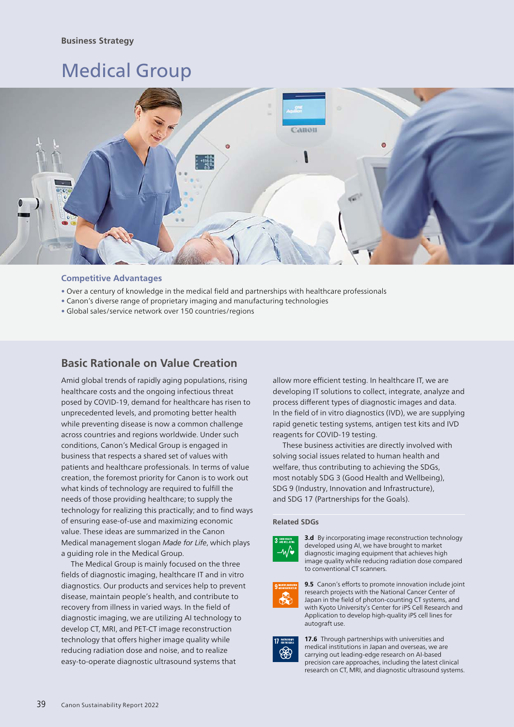## **Business Strategy**

# Medical Group



## **Competitive Advantages**

- Over a century of knowledge in the medical field and partnerships with healthcare professionals
- Canon's diverse range of proprietary imaging and manufacturing technologies
- Global sales/service network over 150 countries/regions

## **Basic Rationale on Value Creation**

Amid global trends of rapidly aging populations, rising healthcare costs and the ongoing infectious threat posed by COVID-19, demand for healthcare has risen to unprecedented levels, and promoting better health while preventing disease is now a common challenge across countries and regions worldwide. Under such conditions, Canon's Medical Group is engaged in business that respects a shared set of values with patients and healthcare professionals. In terms of value creation, the foremost priority for Canon is to work out what kinds of technology are required to fulfill the needs of those providing healthcare; to supply the technology for realizing this practically; and to find ways of ensuring ease-of-use and maximizing economic value. These ideas are summarized in the Canon Medical management slogan *Made for Life*, which plays a guiding role in the Medical Group.

The Medical Group is mainly focused on the three fields of diagnostic imaging, healthcare IT and in vitro diagnostics. Our products and services help to prevent disease, maintain people's health, and contribute to recovery from illness in varied ways. In the field of diagnostic imaging, we are utilizing AI technology to develop CT, MRI, and PET-CT image reconstruction technology that offers higher image quality while reducing radiation dose and noise, and to realize easy-to-operate diagnostic ultrasound systems that

allow more efficient testing. In healthcare IT, we are developing IT solutions to collect, integrate, analyze and process different types of diagnostic images and data. In the field of in vitro diagnostics (IVD), we are supplying rapid genetic testing systems, antigen test kits and IVD reagents for COVID-19 testing.

These business activities are directly involved with solving social issues related to human health and welfare, thus contributing to achieving the SDGs, most notably SDG 3 (Good Health and Wellbeing), SDG 9 (Industry, Innovation and Infrastructure), and SDG 17 (Partnerships for the Goals).

## **Related SDGs**



**3.d** By incorporating image reconstruction technology developed using AI, we have brought to market diagnostic imaging equipment that achieves high image quality while reducing radiation dose compared to conventional CT scanners.



**9.5** Canon's efforts to promote innovation include joint research projects with the National Cancer Center of Japan in the field of photon-counting CT systems, and with Kyoto University's Center for iPS Cell Research and Application to develop high-quality iPS cell lines for autograft use.



**17.6** Through partnerships with universities and medical institutions in Japan and overseas, we are carrying out leading-edge research on AI-based precision care approaches, including the latest clinical research on CT, MRI, and diagnostic ultrasound systems.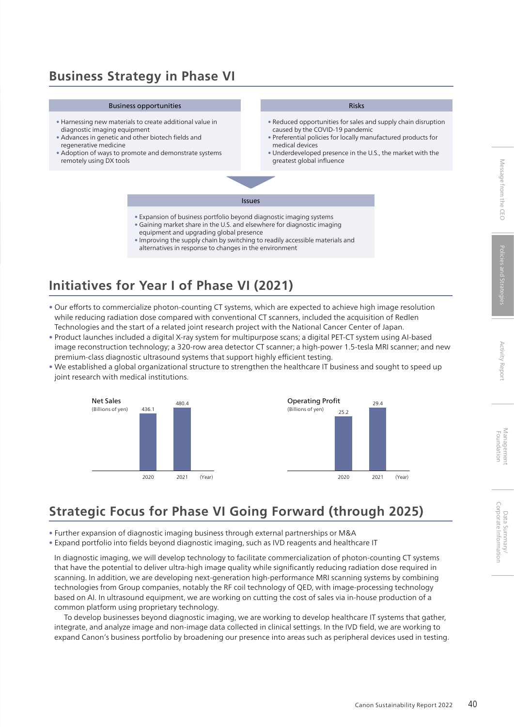## **Business Strategy in Phase VI**

#### Business opportunities

- Harnessing new materials to create additional value in diagnostic imaging equipment
- Advances in genetic and other biotech fields and regenerative medicine
- Adoption of ways to promote and demonstrate systems remotely using DX tools

## Risks

- Reduced opportunities for sales and supply chain disruption caused by the COVID-19 pandemic
- Preferential policies for locally manufactured products for medical devices
- Underdeveloped presence in the U.S., the market with the greatest global influence

Issues

- Expansion of business portfolio beyond diagnostic imaging systems
- Gaining market share in the U.S. and elsewhere for diagnostic imaging equipment and upgrading global presence
- Improving the supply chain by switching to readily accessible materials and alternatives in response to changes in the environment

## **Initiatives for Year I of Phase VI (2021)**

- Our efforts to commercialize photon-counting CT systems, which are expected to achieve high image resolution while reducing radiation dose compared with conventional CT scanners, included the acquisition of Redlen Technologies and the start of a related joint research project with the National Cancer Center of Japan.
- Product launches included a digital X-ray system for multipurpose scans; a digital PET-CT system using AI-based image reconstruction technology; a 320-row area detector CT scanner; a high-power 1.5-tesla MRI scanner; and new premium-class diagnostic ultrasound systems that support highly efficient testing.
- We established a global organizational structure to strengthen the healthcare IT business and sought to speed up joint research with medical institutions.



# **Strategic Focus for Phase VI Going Forward (through 2025)**

- Further expansion of diagnostic imaging business through external partnerships or M&A
- Expand portfolio into fields beyond diagnostic imaging, such as IVD reagents and healthcare IT

In diagnostic imaging, we will develop technology to facilitate commercialization of photon-counting CT systems that have the potential to deliver ultra-high image quality while significantly reducing radiation dose required in scanning. In addition, we are developing next-generation high-performance MRI scanning systems by combining technologies from Group companies, notably the RF coil technology of QED, with image-processing technology based on AI. In ultrasound equipment, we are working on cutting the cost of sales via in-house production of a common platform using proprietary technology.

To develop businesses beyond diagnostic imaging, we are working to develop healthcare IT systems that gather, integrate, and analyze image and non-image data collected in clinical settings. In the IVD field, we are working to expand Canon's business portfolio by broadening our presence into areas such as peripheral devices used in testing.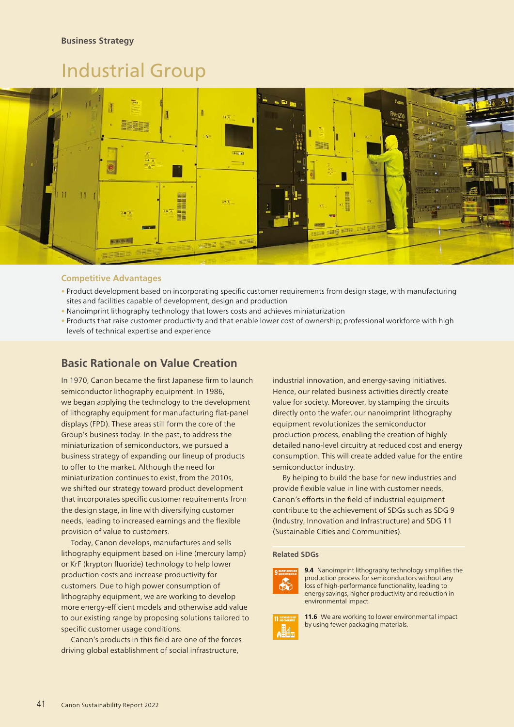# Industrial Group



## **Competitive Advantages**

- Product development based on incorporating specific customer requirements from design stage, with manufacturing sites and facilities capable of development, design and production
- Nanoimprint lithography technology that lowers costs and achieves miniaturization
- Products that raise customer productivity and that enable lower cost of ownership; professional workforce with high levels of technical expertise and experience

## **Basic Rationale on Value Creation**

In 1970, Canon became the first Japanese firm to launch semiconductor lithography equipment. In 1986, we began applying the technology to the development of lithography equipment for manufacturing flat-panel displays (FPD). These areas still form the core of the Group's business today. In the past, to address the miniaturization of semiconductors, we pursued a business strategy of expanding our lineup of products to offer to the market. Although the need for miniaturization continues to exist, from the 2010s, we shifted our strategy toward product development that incorporates specific customer requirements from the design stage, in line with diversifying customer needs, leading to increased earnings and the flexible provision of value to customers.

Today, Canon develops, manufactures and sells lithography equipment based on i-line (mercury lamp) or KrF (krypton fluoride) technology to help lower production costs and increase productivity for customers. Due to high power consumption of lithography equipment, we are working to develop more energy-efficient models and otherwise add value to our existing range by proposing solutions tailored to specific customer usage conditions.

Canon's products in this field are one of the forces driving global establishment of social infrastructure,

industrial innovation, and energy-saving initiatives. Hence, our related business activities directly create value for society. Moreover, by stamping the circuits directly onto the wafer, our nanoimprint lithography equipment revolutionizes the semiconductor production process, enabling the creation of highly detailed nano-level circuitry at reduced cost and energy consumption. This will create added value for the entire semiconductor industry.

By helping to build the base for new industries and provide flexible value in line with customer needs, Canon's efforts in the field of industrial equipment contribute to the achievement of SDGs such as SDG 9 (Industry, Innovation and Infrastructure) and SDG 11 (Sustainable Cities and Communities).

### **Related SDGs**



**9.4** Nanoimprint lithography technology simplifies the production process for semiconductors without any loss of high-performance functionality, leading to energy savings, higher productivity and reduction in environmental impact.



**11.6** We are working to lower environmental impact by using fewer packaging materials.